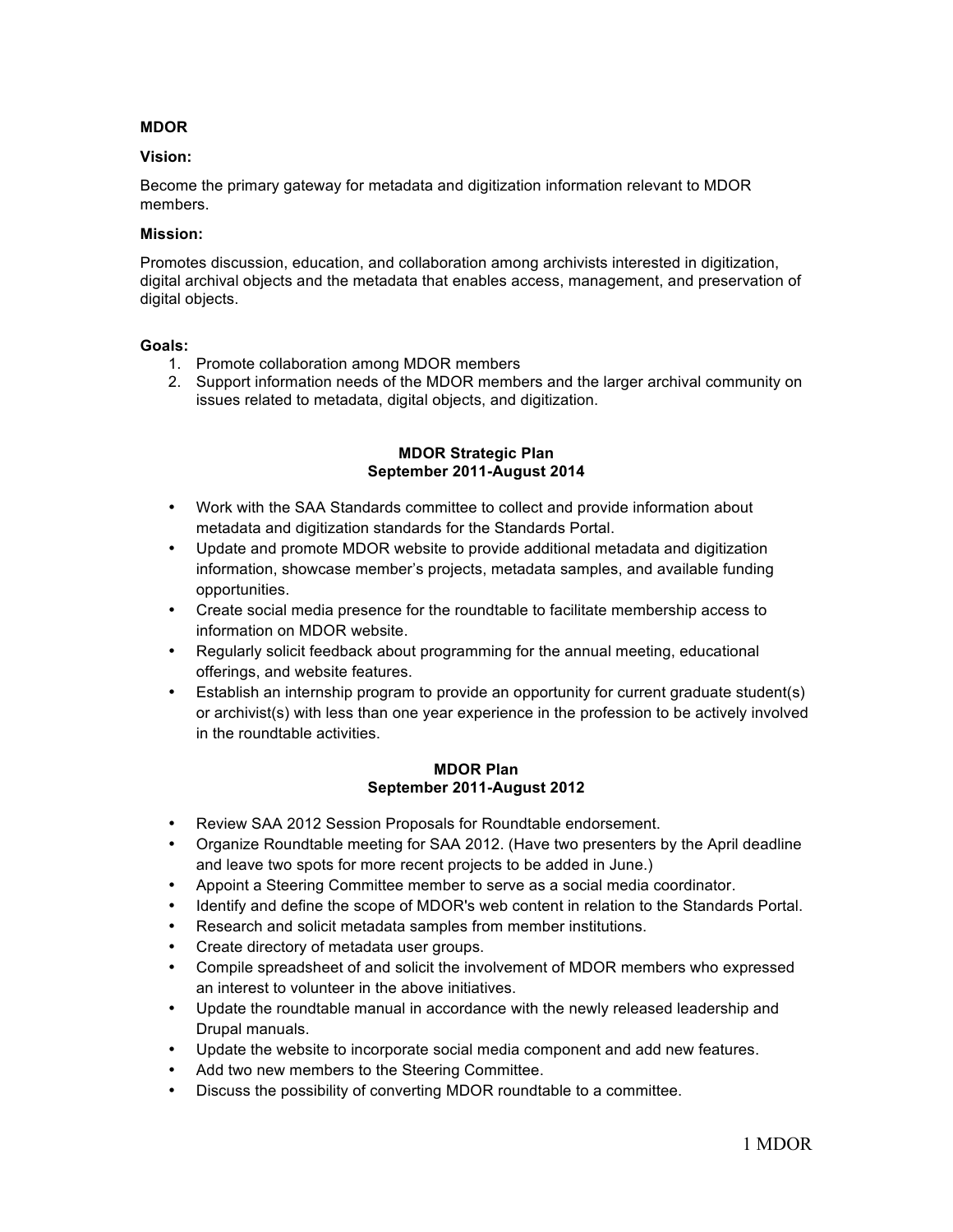# **MDOR**

### **Vision:**

Become the primary gateway for metadata and digitization information relevant to MDOR members.

#### **Mission:**

Promotes discussion, education, and collaboration among archivists interested in digitization, digital archival objects and the metadata that enables access, management, and preservation of digital objects.

#### **Goals:**

- 1. Promote collaboration among MDOR members
- 2. Support information needs of the MDOR members and the larger archival community on issues related to metadata, digital objects, and digitization.

## **MDOR Strategic Plan September 2011-August 2014**

- Work with the SAA Standards committee to collect and provide information about metadata and digitization standards for the Standards Portal.
- Update and promote MDOR website to provide additional metadata and digitization information, showcase member's projects, metadata samples, and available funding opportunities.
- Create social media presence for the roundtable to facilitate membership access to information on MDOR website.
- Regularly solicit feedback about programming for the annual meeting, educational offerings, and website features.
- Establish an internship program to provide an opportunity for current graduate student(s) or archivist(s) with less than one year experience in the profession to be actively involved in the roundtable activities.

## **MDOR Plan September 2011-August 2012**

- Review SAA 2012 Session Proposals for Roundtable endorsement.
- Organize Roundtable meeting for SAA 2012. (Have two presenters by the April deadline and leave two spots for more recent projects to be added in June.)
- Appoint a Steering Committee member to serve as a social media coordinator.
- Identify and define the scope of MDOR's web content in relation to the Standards Portal.
- Research and solicit metadata samples from member institutions.
- Create directory of metadata user groups.
- Compile spreadsheet of and solicit the involvement of MDOR members who expressed an interest to volunteer in the above initiatives.
- Update the roundtable manual in accordance with the newly released leadership and Drupal manuals.
- Update the website to incorporate social media component and add new features.
- Add two new members to the Steering Committee.
- Discuss the possibility of converting MDOR roundtable to a committee.